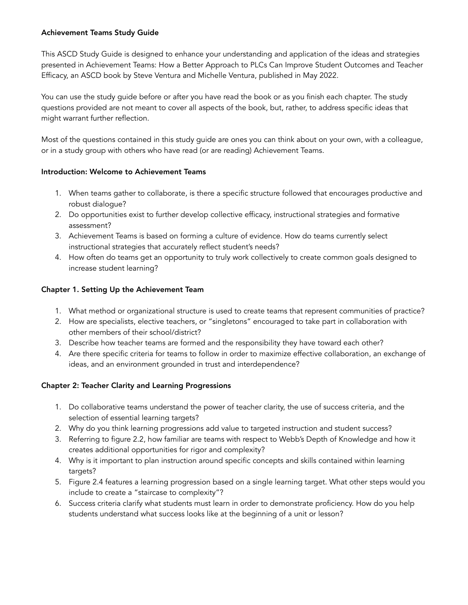### Achievement Teams Study Guide

This ASCD Study Guide is designed to enhance your understanding and application of the ideas and strategies presented in Achievement Teams: How a Better Approach to PLCs Can Improve Student Outcomes and Teacher Efficacy, an ASCD book by Steve Ventura and Michelle Ventura, published in May 2022.

You can use the study guide before or after you have read the book or as you finish each chapter. The study questions provided are not meant to cover all aspects of the book, but, rather, to address specific ideas that might warrant further reflection.

Most of the questions contained in this study guide are ones you can think about on your own, with a colleague, or in a study group with others who have read (or are reading) Achievement Teams.

#### Introduction: Welcome to Achievement Teams

- 1. When teams gather to collaborate, is there a specific structure followed that encourages productive and robust dialogue?
- 2. Do opportunities exist to further develop collective efficacy, instructional strategies and formative assessment?
- 3. Achievement Teams is based on forming a culture of evidence. How do teams currently select instructional strategies that accurately reflect student's needs?
- 4. How often do teams get an opportunity to truly work collectively to create common goals designed to increase student learning?

# Chapter 1. Setting Up the Achievement Team

- 1. What method or organizational structure is used to create teams that represent communities of practice?
- 2. How are specialists, elective teachers, or "singletons" encouraged to take part in collaboration with other members of their school/district?
- 3. Describe how teacher teams are formed and the responsibility they have toward each other?
- 4. Are there specific criteria for teams to follow in order to maximize effective collaboration, an exchange of ideas, and an environment grounded in trust and interdependence?

#### Chapter 2: Teacher Clarity and Learning Progressions

- 1. Do collaborative teams understand the power of teacher clarity, the use of success criteria, and the selection of essential learning targets?
- 2. Why do you think learning progressions add value to targeted instruction and student success?
- 3. Referring to figure 2.2, how familiar are teams with respect to Webb's Depth of Knowledge and how it creates additional opportunities for rigor and complexity?
- 4. Why is it important to plan instruction around specific concepts and skills contained within learning targets?
- 5. Figure 2.4 features a learning progression based on a single learning target. What other steps would you include to create a "staircase to complexity"?
- 6. Success criteria clarify what students must learn in order to demonstrate proficiency. How do you help students understand what success looks like at the beginning of a unit or lesson?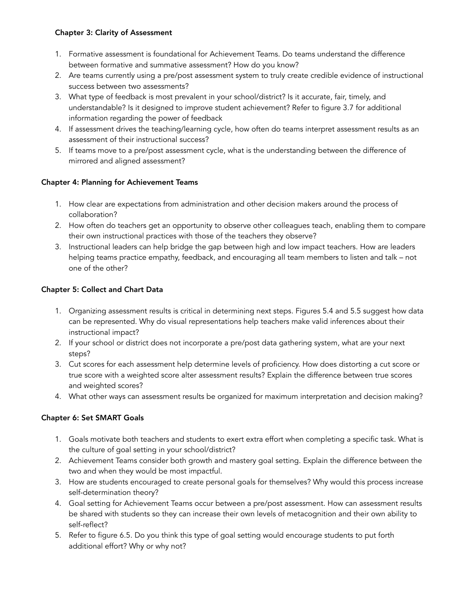### Chapter 3: Clarity of Assessment

- 1. Formative assessment is foundational for Achievement Teams. Do teams understand the difference between formative and summative assessment? How do you know?
- 2. Are teams currently using a pre/post assessment system to truly create credible evidence of instructional success between two assessments?
- 3. What type of feedback is most prevalent in your school/district? Is it accurate, fair, timely, and understandable? Is it designed to improve student achievement? Refer to figure 3.7 for additional information regarding the power of feedback
- 4. If assessment drives the teaching/learning cycle, how often do teams interpret assessment results as an assessment of their instructional success?
- 5. If teams move to a pre/post assessment cycle, what is the understanding between the difference of mirrored and aligned assessment?

### Chapter 4: Planning for Achievement Teams

- 1. How clear are expectations from administration and other decision makers around the process of collaboration?
- 2. How often do teachers get an opportunity to observe other colleagues teach, enabling them to compare their own instructional practices with those of the teachers they observe?
- 3. Instructional leaders can help bridge the gap between high and low impact teachers. How are leaders helping teams practice empathy, feedback, and encouraging all team members to listen and talk – not one of the other?

# Chapter 5: Collect and Chart Data

- 1. Organizing assessment results is critical in determining next steps. Figures 5.4 and 5.5 suggest how data can be represented. Why do visual representations help teachers make valid inferences about their instructional impact?
- 2. If your school or district does not incorporate a pre/post data gathering system, what are your next steps?
- 3. Cut scores for each assessment help determine levels of proficiency. How does distorting a cut score or true score with a weighted score alter assessment results? Explain the difference between true scores and weighted scores?
- 4. What other ways can assessment results be organized for maximum interpretation and decision making?

# Chapter 6: Set SMART Goals

- 1. Goals motivate both teachers and students to exert extra effort when completing a specific task. What is the culture of goal setting in your school/district?
- 2. Achievement Teams consider both growth and mastery goal setting. Explain the difference between the two and when they would be most impactful.
- 3. How are students encouraged to create personal goals for themselves? Why would this process increase self-determination theory?
- 4. Goal setting for Achievement Teams occur between a pre/post assessment. How can assessment results be shared with students so they can increase their own levels of metacognition and their own ability to self-reflect?
- 5. Refer to figure 6.5. Do you think this type of goal setting would encourage students to put forth additional effort? Why or why not?